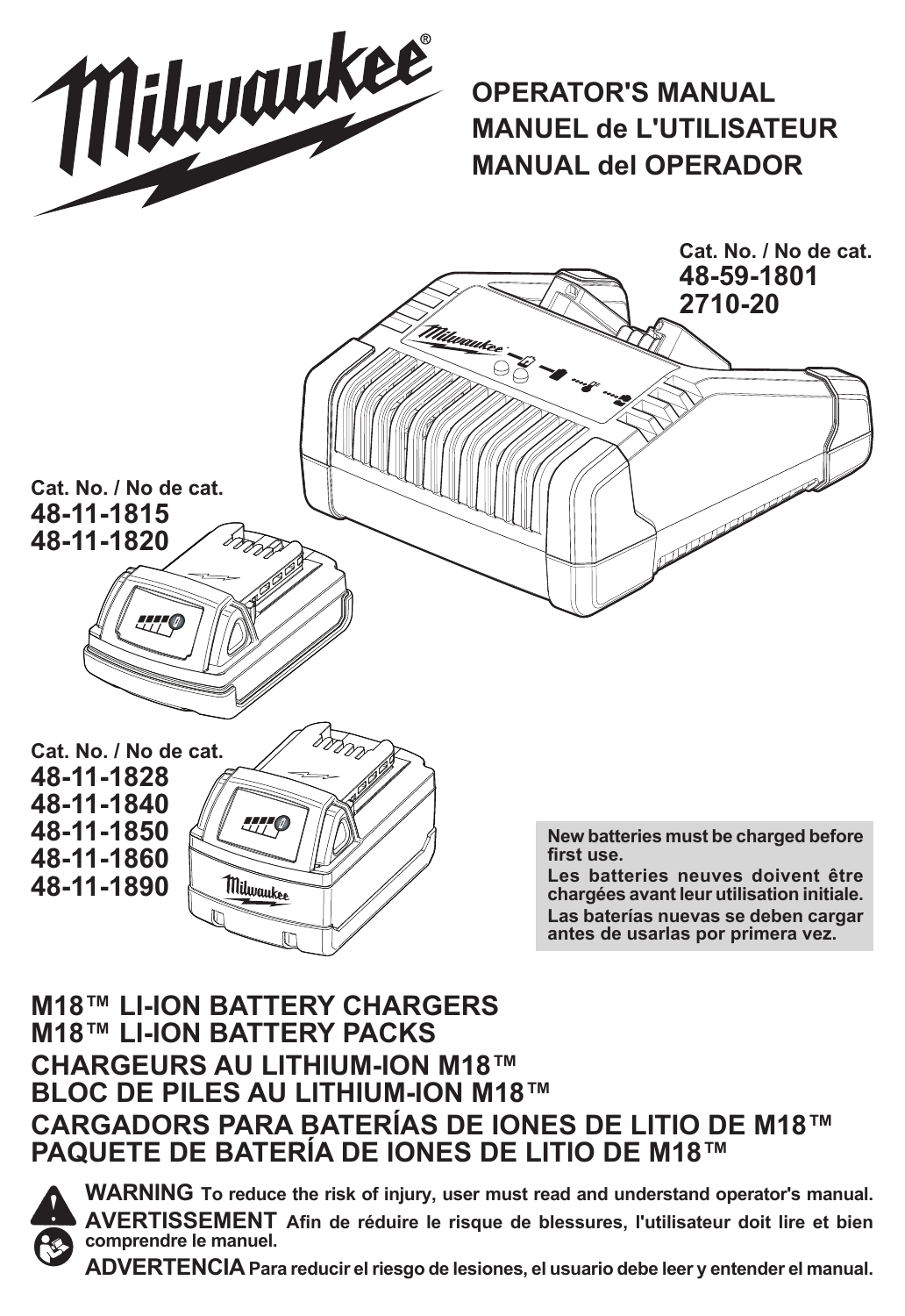

**OPERATOR'S MANUAL MANUEL de L'UTILISATEUR MANUAL del OPERADOR**



### **M18™ LI-ION BATTERY CHARGERS M18™ LI-ION BATTERY PACKS CHARGEURS AU LITHIUM-ION M18™ BLOC DE PILES AU LITHIUM-ION M18™ CARGADORS PARA BATERÍAS DE IONES DE LITIO DE M18™ PAQUETE DE BATERÍA DE IONES DE LITIO DE M18™**



**WARNING To reduce the risk of injury, user must read and understand operator's manual. AVERTISSEMENT Afin de réduire le risque de blessures, l'utilisateur doit lire et bien comprendre le manuel.**

**ADVERTENCIA Para reducir el riesgo de lesiones, el usuario debe leer y entender el manual.**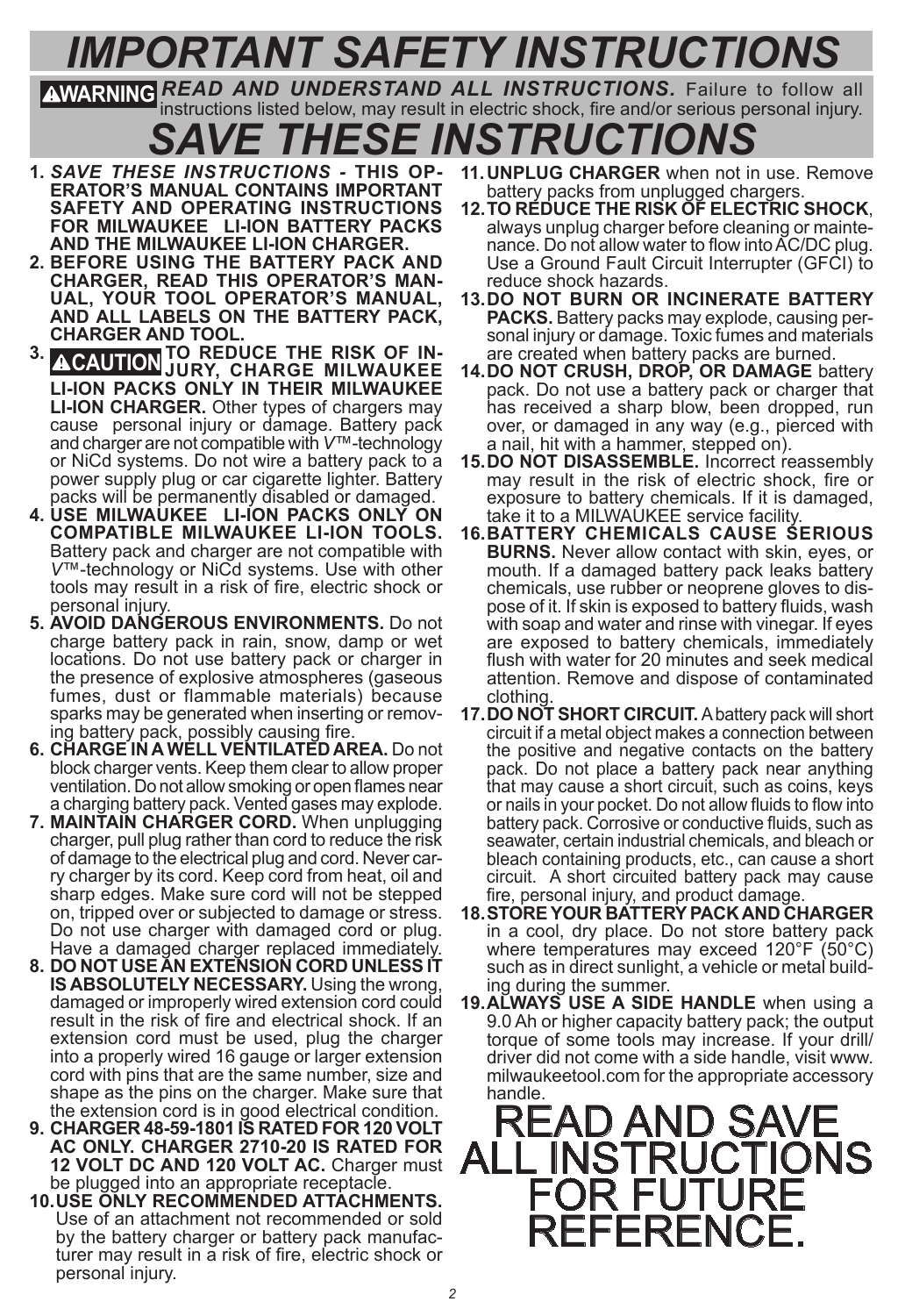# *IMPORTANT SAFETY INSTRUCTIONS*

**WARNING** *READ AND UNDERSTAND ALL INSTRUCTIONS.* Failure to follow all instructions listed below, may result in electric shock, fire and/or serious personal injury.

*SAVE THESE INSTRUCTIONS*

- **1.** *SAVE THESE INSTRUCTIONS* **THIS OP- ERATOR'S MANUAL CONTAINS IMPORTANT SAFETY AND OPERATING INSTRUCTIONS FOR MILWAUKEE LI-ION BATTERY PACKS AND THE MILWAUKEE LI-ION CHARGER.**
- **2. BEFORE USING THE BATTERY PACK AND**  UAL, YOUR TOOL OPERATOR'S MANUAL, **AND ALL LABELS ON THE BATTERY PACK, CHARGER AND TOOL.**
- **3. CAUTION TO REDUCE THE RISK OF IN- JURY, CHARGE MILWAUKEE LI-ION PACKS ONLY IN THEIR MILWAUKEE LI-ION CHARGER.** Other types of chargers may cause personal injury or damage. Battery pack and charger are not compatible with *V*™-technology or NiCd systems. Do not wire a battery pack to a power supply plug or car cigarette lighter. Battery packs will be permanently disabled or damaged.
- **4. USE MILWAUKEE LI-ION PACKS ONLY ON COMPATIBLE MILWAUKEE LI-ION TOOLS.**  Battery pack and charger are not compatible with *V*™-technology or NiCd systems. Use with other tools may result in a risk of fire, electric shock or personal injury.
- **5. AVOID DANGEROUS ENVIRONMENTS.** Do not charge battery pack in rain, snow, damp or wet locations. Do not use battery pack or charger in the presence of explosive atmospheres (gaseous fumes, dust or flammable materials) because sparks may be generated when inserting or remov- ing battery pack, possibly causing fire.
- **6. CHARGE IN A WELL VENTILATED AREA.** Do not block charger vents. Keep them clear to allow proper ventilation. Do not allow smoking or open flames near a charging battery pack. Vented gases may explode.
- **7. MAINTAIN CHARGER CORD.** When unplugging charger, pull plug rather than cord to reduce the risk ry charger by its cord. Keep cord from heat, oil and sharp edges. Make sure cord will not be stepped on, tripped over or subjected to damage or stress. Do not use charger with damaged cord or plug. Have a damaged charger replaced immediately.
- **8. DO NOT USE AN EXTENSION CORD UNLESS IT IS ABSOLUTELY NECESSARY.** Using the wrong, damaged or improperly wired extension cord could result in the risk of fire and electrical shock. If an extension cord must be used, plug the charger into a properly wired 16 gauge or larger extension cord with pins that are the same number, size and shape as the pins on the charger. Make sure that the extension cord is in good electrical condition.
- **9. CHARGER 48-59-1801 IS RATED FOR 120 VOLT AC ONLY. CHARGER 2710-20 IS RATED FOR 12 VOLT DC AND 120 VOLT AC.** Charger must be plugged into an appropriate receptacle.
- **10.USE ONLY RECOMMENDED ATTACHMENTS.** Use of an attachment not recommended or sold<br>by the battery charger or battery pack manufacturer may result in a risk of fire, electric shock or personal injury.
- **11.UNPLUG CHARGER** when not in use. Remove
- battery packs from unplugged chargers.<br>12. TO REDUCE THE RISK OF ELECTRIC SHOCK. **12.TO REDUCE THE RISK OF ELECTRIC SHOCK**, always unplug charger before cleaning or mainte- nance. Do not allow water to flow into AC/DC plug. Use a Ground Fault Circuit Interrupter (GFCI) to reduce shock hazards.
- **13.DO NOT BURN OR INCINERATE BATTERY PACKS.** Battery packs may explode, causing personal injury or damage. Toxic fumes and materials are created when battery packs are burned.
- **14.DO NOT CRUSH, DROP, OR DAMAGE** battery pack. Do not use a battery pack or charger that has received a sharp blow, been dropped, run over, or damaged in any way (e.g., pierced with a nail, hit with a hammer, stepped on).
- **15.DO NOT DISASSEMBLE.** Incorrect reassembly may result in the risk of electric shock, fire or exposure to battery chemicals. If it is damaged, take it to a MILWAUKEE service facility.
- **16.BATTERY CHEMICALS CAUSE SERIOUS BURNS.** Never allow contact with skin, eyes, or mouth. If a damaged battery pack leaks battery chemicals, use rubber or neoprene gloves to dispose of it. If skin is exposed to battery fluids, wash with soap and water and rinse with vinegar. If eyes are exposed to battery chemicals, immediately flush with water for 20 minutes and seek medical attention. Remove and dispose of contaminated clothing.
- **17.DO NOT SHORT CIRCUIT.** A battery pack will short circuit if a metal object makes a connection between the positive and negative contacts on the battery pack. Do not place a battery pack near anything that may cause a short circuit, such as coins. kevs or nails in your pocket. Do not allow fluids to flow into battery pack. Corrosive or conductive fluids, such as seawater, certain industrial chemicals, and bleach or bleach containing products, etc., can cause a short circuit. A short circuited battery pack may cause fire, personal injury, and product damage.
- **18.STORE YOUR BATTERY PACK AND CHARGER** in a cool, dry place. Do not store battery pack where temperatures may exceed 120°F (50°C) such as in direct sunlight, a vehicle or metal build- ing during the summer.
- **19.ALWAYS USE A SIDE HANDLE** when using a 9.0 Ah or higher capacity battery pack; the output torque of some tools may increase. If your drill/ driver did not come with a side handle, visit www. milwaukeetool.com for the appropriate accessory handle.

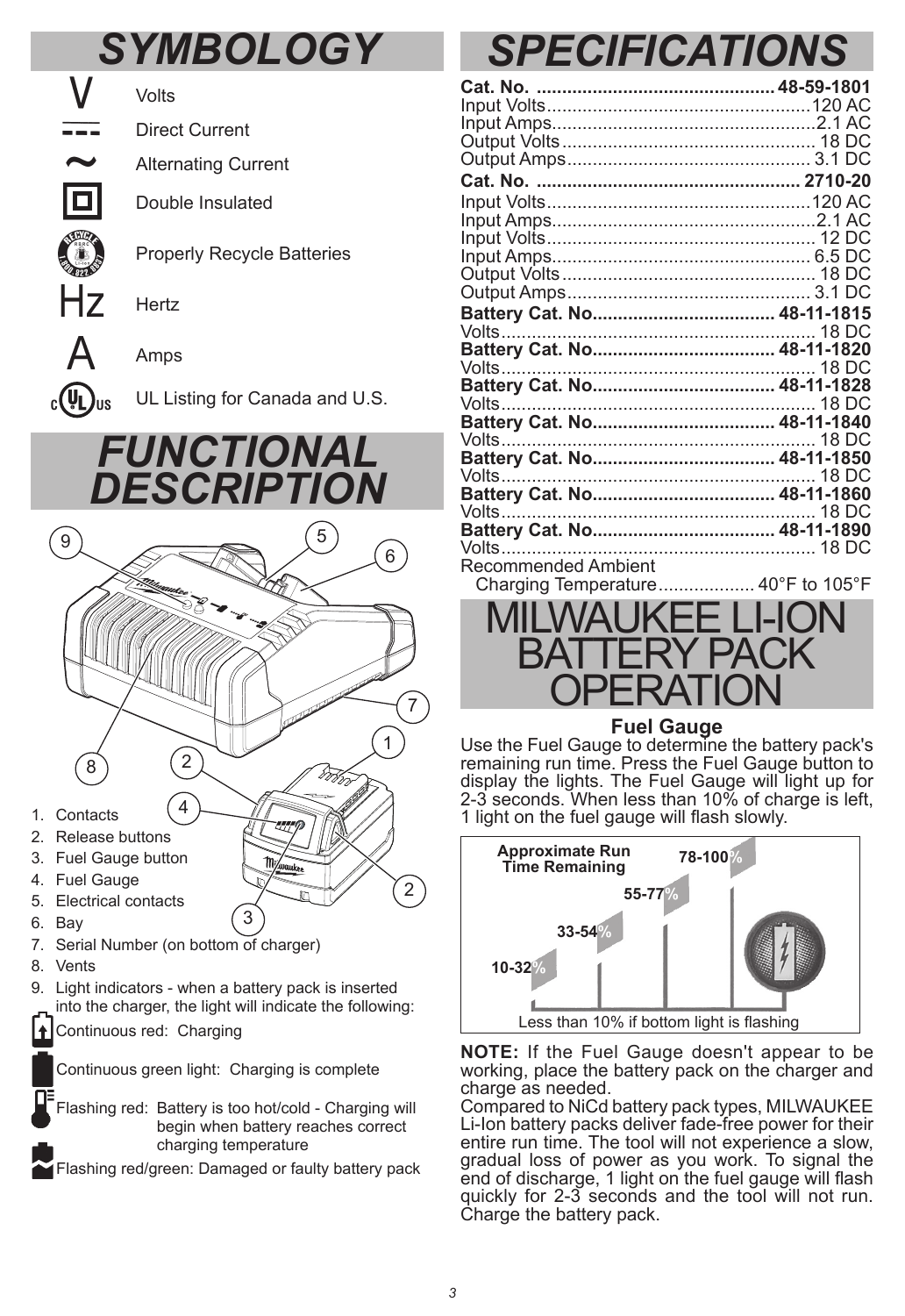## *SYMBOLOGY*



Volts

Direct Current

Alternating Current

Double Insulated

Properly Recycle Batteries

Hertz

Amps



 $_{c}$  $(\psi_{L})_{us}$  UL Listing for Canada and U.S.

## *FUNCTIONAL DESCRIPTION*



- 5. Electrical contacts
- 6. Bay
- 7. Serial Number (on bottom of charger)
- 8. Vents
- 9. Light indicators when a battery pack is inserted into the charger, the light will indicate the following:

3

Continuous red: Charging ٠

Continuous green light: Charging is complete

Flashing red: Battery is too hot/cold - Charging will begin when battery reaches correct charging temperature

Flashing red/green: Damaged or faulty battery pack

# *SPECIFICATIONS*

| Battery Cat. No 48-11-1820         |  |
|------------------------------------|--|
|                                    |  |
|                                    |  |
|                                    |  |
|                                    |  |
|                                    |  |
|                                    |  |
|                                    |  |
| Battery Cat. No 48-11-1860         |  |
|                                    |  |
|                                    |  |
|                                    |  |
| Recommended Ambient                |  |
| Charging Temperature 40°F to 105°F |  |
| MII WALIKFF LLION                  |  |



### **Fuel Gauge**

Use the Fuel Gauge to determine the battery pack's remaining run time. Press the Fuel Gauge button to display the lights. The Fuel Gauge will light up for 2-3 seconds. When less than 10% of charge is left, 1 light on the fuel gauge will flash slowly.



**NOTE:** If the Fuel Gauge doesn't appear to be working, place the battery pack on the charger and charge as needed.

Compared to NiCd battery pack types, MILWAUKEE Li-Ion battery packs deliver fade-free power for their entire run time. The tool will not experience a slow, gradual loss of power as you work. To signal the end of discharge, 1 light on the fuel gauge will flash quickly for 2-3 seconds and the tool will not run. Charge the battery pack.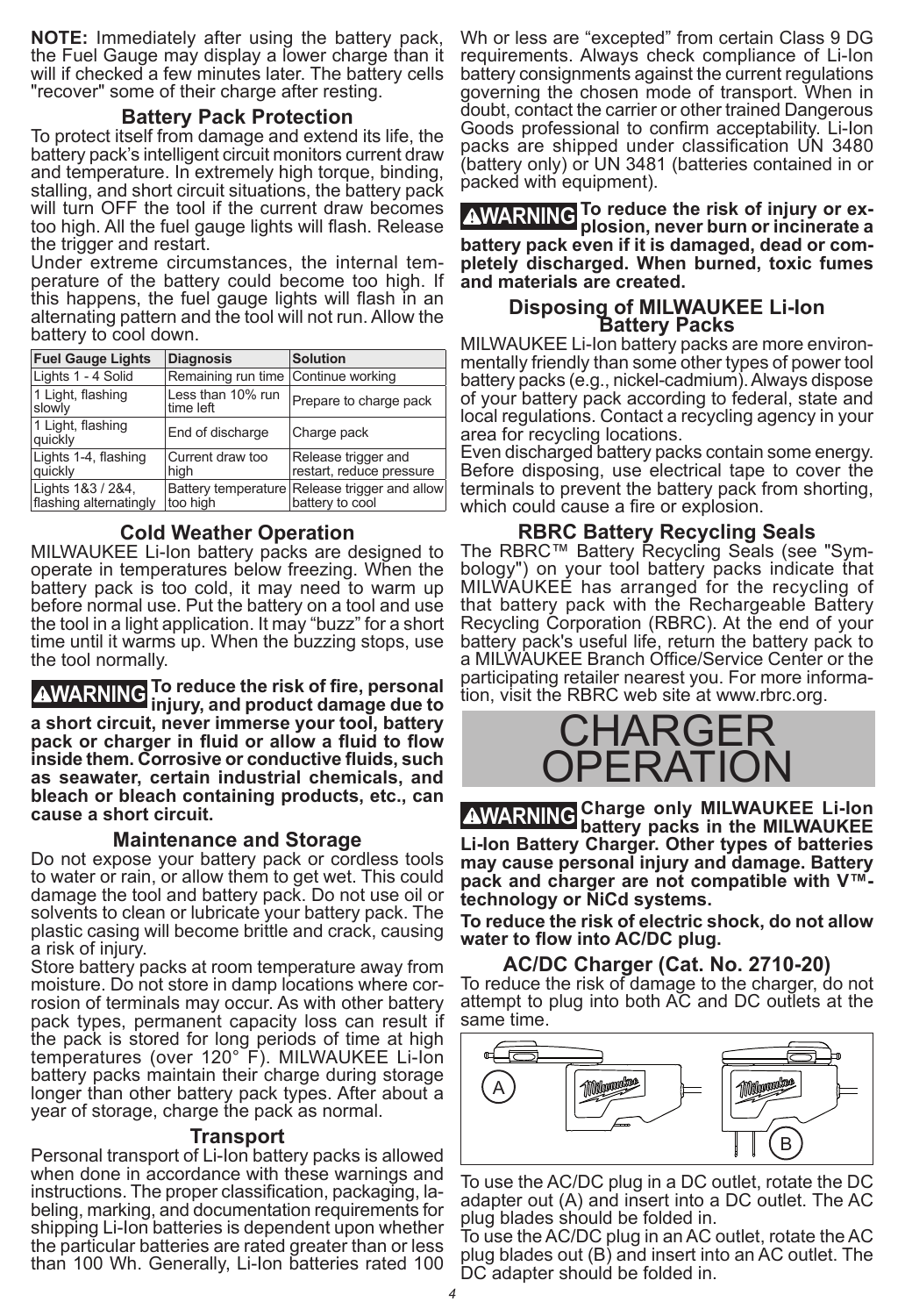**NOTE:** Immediately after using the battery pack, the Fuel Gauge may display a lower charge than it will if checked a few minutes later. The battery cells "recover" some of their charge after resting.

#### **Battery Pack Protection**

To protect itself from damage and extend its life, the battery pack's intelligent circuit monitors current draw and temperature. In extremely high torque, binding, stalling, and short circuit situations, the battery pack will turn OFF the tool if the current draw becomes too high. All the fuel gauge lights will flash. Release the trigger and restart.

Under extreme circumstances, the internal tem- perature of the battery could become too high. If this happens, the fuel gauge lights will flash in an alternating pattern and the tool will not run. Allow the battery to cool down.

| <b>Fuel Gauge Lights</b>                    | <b>Diagnosis</b>                    | <b>Solution</b>                                                  |
|---------------------------------------------|-------------------------------------|------------------------------------------------------------------|
| Lights 1 - 4 Solid                          | Remaining run time Continue working |                                                                  |
| 1 Light, flashing<br>slowly                 | Less than 10% run<br>time left      | Prepare to charge pack                                           |
| 1 Light, flashing<br>auickly                | End of discharge                    | Charge pack                                                      |
| Lights 1-4, flashing<br>quickly             | Current draw too<br>hiah            | Release trigger and<br>restart, reduce pressure                  |
| Lights 1&3 / 2&4,<br>flashing alternatingly | too high                            | Battery temperature Release trigger and allow<br>battery to cool |

**Cold Weather Operation**

MILWAUKEE Li-Ion battery packs are designed to operate in temperatures below freezing. When the battery pack is too cold, it may need to warm up before normal use. Put the battery on a tool and use the tool in a light application. It may "buzz" for a short time until it warms up. When the buzzing stops, use the tool normally.

**WARNING To reduce the risk of fire, personal injury, and product damage due to a short circuit, never immerse your tool, battery pack or charger in fluid or allow a fluid to flow inside them. Corrosive or conductive fluids, such as seawater, certain industrial chemicals, and bleach or bleach containing products, etc., can cause a short circuit.**

#### **Maintenance and Storage**

Do not expose your battery pack or cordless tools to water or rain, or allow them to get wet. This could damage the tool and battery pack. Do not use oil or solvents to clean or lubricate your battery pack. The plastic casing will become brittle and crack, causing a risk of injury.

Store battery packs at room temperature away from moisture. Do not store in damp locations where cor- rosion of terminals may occur. As with other battery pack types, permanent capacity loss can result if the pack is stored for long periods of time at high temperatures (over 120° F). MILWAUKEE Li-Ion battery packs maintain their charge during storage longer than other battery pack types. After about a year of storage, charge the pack as normal.

#### **Transport**

Personal transport of Li-Ion battery packs is allowed when done in accordance with these warnings and<br>instructions. The proper classification, packaging, labeling, marking, and documentation requirements for shipping Li-Ion batteries is dependent upon whether the particular batteries are rated greater than or less than 100 Wh. Generally, Li-Ion batteries rated 100

Wh or less are "excepted" from certain Class 9 DG requirements. Always check compliance of Li-Ion battery consignments against the current regulations governing the chosen mode of transport. When in doubt, contact the carrier or other trained Dangerous Goods professional to confirm acceptability. Li-Ion packs are shipped under classification UN 3480 (battery only) or UN 3481 (batteries contained in or packed with equipment).

**WARNING To reduce the risk of injury or ex-plosion, never burn or incinerate a battery pack even if it is damaged, dead or completely discharged. When burned, toxic fumes and materials are created.**

### **Disposing of MILWAUKEE Li-Ion Battery Packs**

MILWAUKEE Li-Ion battery packs are more environ- mentally friendly than some other types of power tool battery packs (e.g., nickel-cadmium). Always dispose of your battery pack according to federal, state and local regulations. Contact a recycling agency in your area for recycling locations.

Even discharged battery packs contain some energy. Before disposing, use electrical tape to cover the terminals to prevent the battery pack from shorting, which could cause a fire or explosion.

**RBRC Battery Recycling Seals**<br>The RBRC™ Battery Recycling Seals (see "Sym-The RBRC™ Battery Recycling Seals (see "Sym- bology") on your tool battery packs indicate that MILWAUKEE has arranged for the recycling of that battery pack with the Rechargeable Battery Recycling Corporation (RBRC). At the end of your battery pack's useful life, return the battery pack to a MILWAUKEE Branch Office/Service Center or the participating retailer nearest you. For more informa- tion, visit the RBRC web site at www.rbrc.org.

### CHARGE PERATIO

**WARNING Charge only MILWAUKEE Li-Ion battery packs in the MILWAUKEE Li-Ion Battery Charger. Other types of batteries may cause personal injury and damage. Battery pack and charger are not compatible with V™ technology or NiCd systems.** 

**To reduce the risk of electric shock, do not allow water to flow into AC/DC plug.** 

#### **AC/DC Charger (Cat. No. 2710-20)**

To reduce the risk of damage to the charger, do not attempt to plug into both AC and DC outlets at the same time.



To use the AC/DC plug in a DC outlet, rotate the DC adapter out (A) and insert into a DC outlet. The AC plug blades should be folded in.

To use the AC/DC plug in an AC outlet, rotate the AC plug blades out (B) and insert into an AC outlet. The DC adapter should be folded in.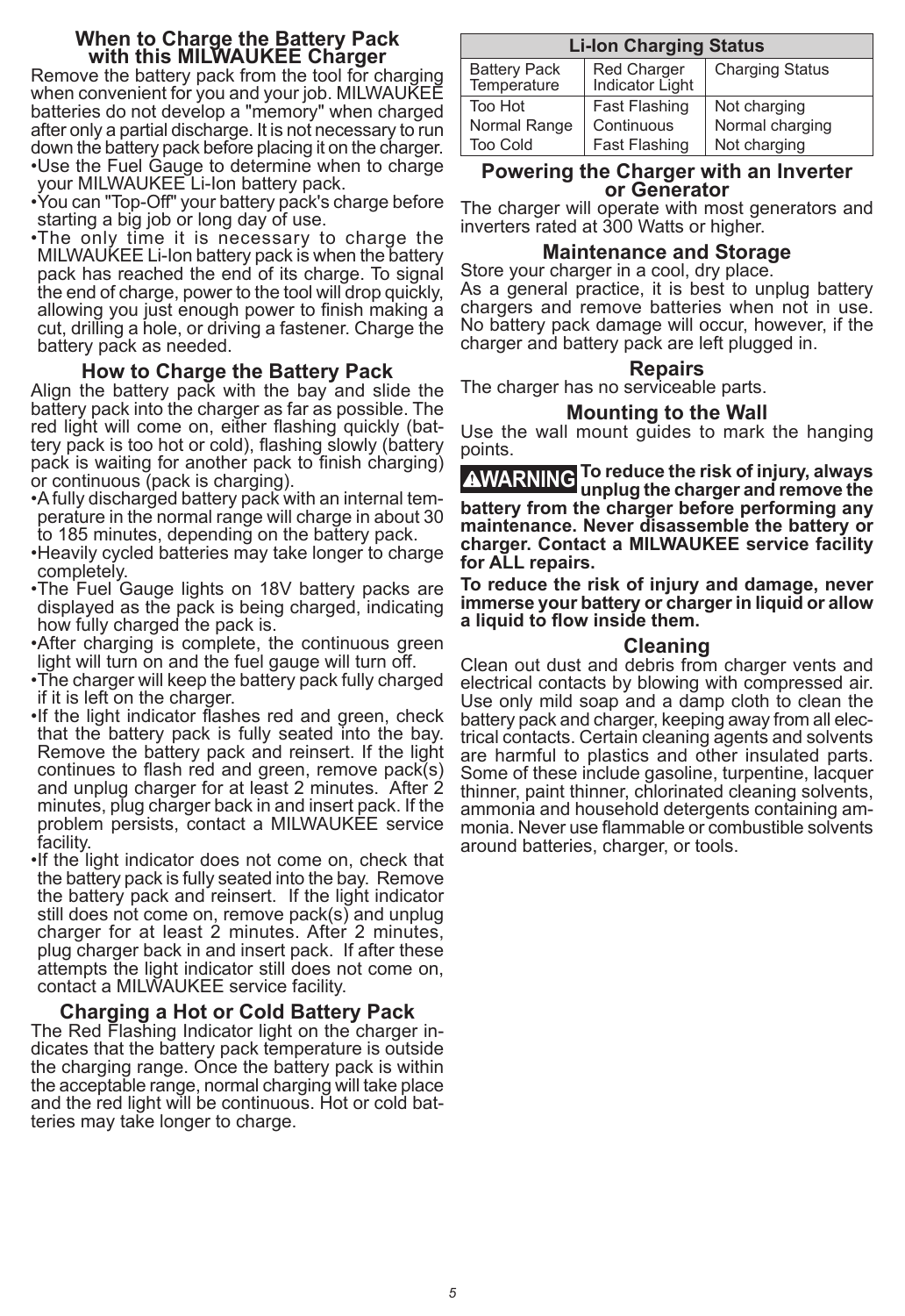#### **When to Charge the Battery Pack with this MILWAUKEE Charger**

Remove the battery pack from the tool for charging when convenient for you and your job. MILWAUKEE batteries do not develop a "memory" when charged after only a partial discharge. It is not necessary to run down the battery pack before placing it on the charger. •Use the Fuel Gauge to determine when to charge

- your MILWAUKEE Li-Ion battery pack. •You can "Top-Off" your battery pack's charge before
- starting a big job or long day of use.
- •The only time it is necessary to charge the MILWAUKEE Li-Ion battery pack is when the battery pack has reached the end of its charge. To signal the end of charge, power to the tool will drop quickly, allowing you just enough power to finish making a cut, drilling a hole, or driving a fastener. Charge the battery pack as needed.

#### **How to Charge the Battery Pack**

Align the battery pack with the bay and slide the battery pack into the charger as far as possible. The red light will come on, either flashing quickly (bat- tery pack is too hot or cold), flashing slowly (battery pack is waiting for another pack to finish charging) or continuous (pack is charging).

- •A fully discharged battery pack with an internal tem- perature in the normal range will charge in about 30 to 185 minutes, depending on the battery pack.
- •Heavily cycled batteries may take longer to charge completely.
- •The Fuel Gauge lights on 18V battery packs are displayed as the pack is being charged, indicating how fully charged the pack is.
- •After charging is complete, the continuous green light will turn on and the fuel gauge will turn off.
- •The charger will keep the battery pack fully charged if it is left on the charger.
- •If the light indicator flashes red and green, check that the battery pack is fully seated into the bay. Remove the battery pack and reinsert. If the light continues to flash red and green, remove pack(s) and unplug charger for at least 2 minutes. After 2 minutes, plug charger back in and insert pack. If the problem persists, contact a MILWAUKEE service facility.
- •If the light indicator does not come on, check that the battery pack is fully seated into the bay. Remove the battery pack and reinsert. If the light indicator still does not come on, remove pack(s) and unplug charger for at least 2 minutes. After 2 minutes, plug charger back in and insert pack. If after these attempts the light indicator still does not come on. contact a MILWAUKEE service facility.

**Charging a Hot or Cold Battery Pack**<br>The Red Flashing Indicator light on the charger indicates that the battery pack temperature is outside the charging range. Once the battery pack is within the acceptable range, normal charging will take place and the red light will be continuous. Hot or cold bat- teries may take longer to charge.

| <b>Li-lon Charging Status</b>      |                                |                        |  |  |
|------------------------------------|--------------------------------|------------------------|--|--|
| <b>Battery Pack</b><br>Temperature | Red Charger<br>Indicator Light | <b>Charging Status</b> |  |  |
| Too Hot                            | Fast Flashing                  | Not charging           |  |  |
| Normal Range                       | Continuous                     | Normal charging        |  |  |
| <b>Too Cold</b>                    | <b>Fast Flashing</b>           | Not charging           |  |  |

### **Powering the Charger with an Inverter or Generator**

The charger will operate with most generators and inverters rated at 300 Watts or higher.

#### **Maintenance and Storage**

Store your charger in a cool, dry place. As a general practice, it is best to unplug battery chargers and remove batteries when not in use. No battery pack damage will occur, however, if the charger and battery pack are left plugged in.

#### **Repairs**

The charger has no serviceable parts.

#### **Mounting to the Wall**

Use the wall mount guides to mark the hanging points.

**WARNING To reduce the risk of injury, always unplug the charger and remove the battery from the charger before performing any maintenance. Never disassemble the battery or charger. Contact a MILWAUKEE service facility for ALL repairs.**

**To reduce the risk of injury and damage, never immerse your battery or charger in liquid or allow a liquid to flow inside them.**

#### **Cleaning**

Clean out dust and debris from charger vents and electrical contacts by blowing with compressed air. Use only mild soap and a damp cloth to clean the battery pack and charger, keeping away from all electrical contacts. Certain cleaning agents and solvents are harmful to plastics and other insulated parts. Some of these include gasoline, turpentine, lacquer thinner, paint thinner, chlorinated cleaning solvents,<br>ammonia and household detergents containing ammonia. Never use flammable or combustible solvents around batteries, charger, or tools.